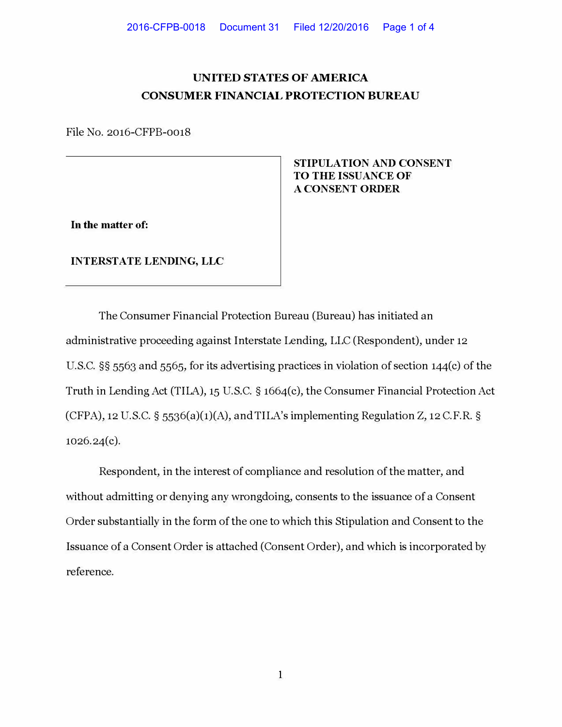## **UNITED STATES OF AMERICA CONSUMER FINANCIAL PROTECTION BUREAU**

File No. 2016-CFPB-0018

**In the matter of:** 

**INTERSTATE LENDING, LLC** 

**STIPULATION AND CONSENT TO THE ISSUANCE OF A CONSENT ORDER** 

The Consumer Financial Protection Bureau (Bureau) has initiated an administrative proceeding against Interstate Lending, LLC (Respondent), under 12 U.S.C. §§ 5563 and 5565, for its advertising practices in violation of section 144(c) of the Truth in Lending Act (TILA), 15 U.S.C. § 1664(c), the Consumer Financial Protection Act (CFPA), 12 U.S.C.  $\S$  5536(a)(1)(A), and TILA's implementing Regulation Z, 12 C.F.R.  $\S$ 1026.24(c).

Respondent, in the interest of compliance and resolution of the matter, and without admitting or denying any wrongdoing, consents to the issuance of a Consent Order substantially in the form of the one to which this Stipulation and Consent to the Issuance of a Consent Order is attached (Consent Order), and which is incorporated by reference.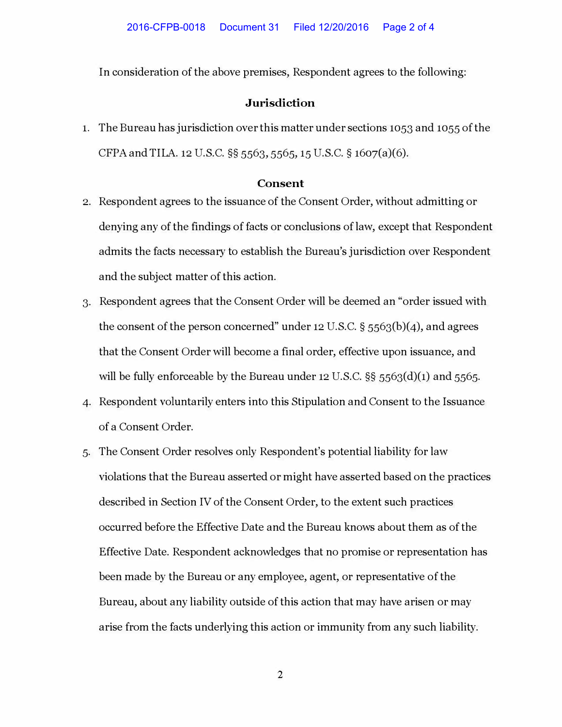In consideration of the above premises, Respondent agrees to the following:

## **Jurisdiction**

1. The Bureau has jurisdiction over this matter under sections 1053 and 1055 of the CFPA and TILA. 12 U.S.C. §§ 5563, 5565, 15 U.S.C. § 1607(a)(6).

## **Consent**

- 2. Respondent agrees to the issuance of the Consent Order, without admitting or denying any of the findings of facts or conclusions of law, except that Respondent admits the facts necessary to establish the Bureau's jurisdiction over Respondent and the subject matter of this action.
- 3. Respondent agrees that the Consent Order will be deemed an "order issued with the consent of the person concerned" under 12 U.S.C.  $\S$  5563(b)(4), and agrees that the Consent Order will become a final order, effective upon issuance, and will be fully enforceable by the Bureau under 12 U.S.C. §§ 5563(d)(1) and 5565.
- 4. Respondent voluntarily enters into this Stipulation and Consent to the Issuance of a Consent Order.
- 5. The Consent Order resolves only Respondent's potential liability for law violations that the Bureau asserted or might have asserted based on the practices described in Section IV of the Consent Order, to the extent such practices occurred before the Effective Date and the Bureau knows about them as of the Effective Date. Respondent acknowledges that no promise or representation has been made by the Bureau or any employee, agent, or representative of the Bureau, about any liability outside of this action that may have arisen or may arise from the facts underlying this action or immunity from any such liability.

**2**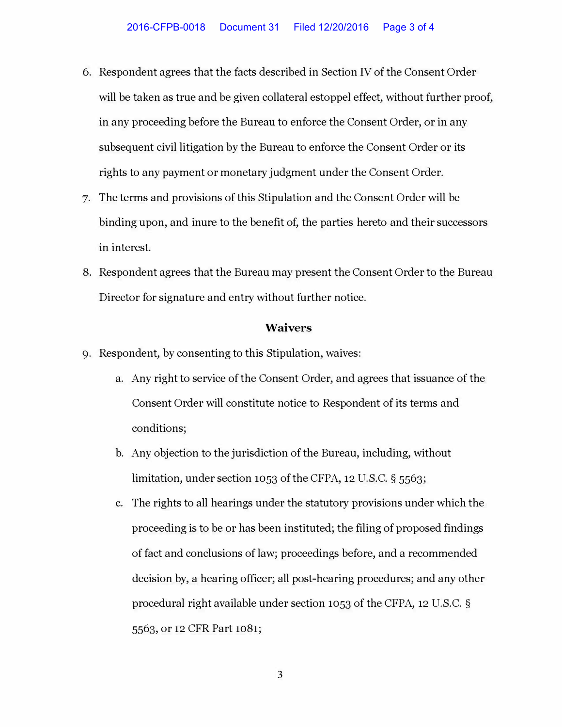- 6. Respondent agrees that the facts described in Section IV of the Consent Order will be taken as true and be given collateral estoppel effect, without further proof, in any proceeding before the Bureau to enforce the Consent Order, or in any subsequent civil litigation by the Bureau to enforce the Consent Order or its rights to any payment or monetary judgment under the Consent Order.
- 7. The terms and provisions of this Stipulation and the Consent Order will be binding upon, and inure to the benefit of, the parties hereto and their successors in interest.
- 8. Respondent agrees that the Bureau may present the Consent Order to the Bureau Director for signature and entry without further notice.

## **Waivers**

- 9. Respondent, by consenting to this Stipulation, waives:
	- a. Any right to service of the Consent Order, and agrees that issuance of the Consent Order will constitute notice to Respondent of its terms and conditions;
	- b. Any objection to the jurisdiction of the Bureau, including, without limitation, under section 1053 of the CFPA, 12 U.S.C. § 5563;
	- c. The rights to all hearings under the statutory provisions under which the proceeding is to be or has been instituted; the filing of proposed findings of fact and conclusions of law; proceedings before, and a recommended decision by, a hearing officer; all post-hearing procedures; and any other procedural right available under section 1053 of the CFPA, 12 U.S.C. § 5563, or 12 CFR Part 1081;